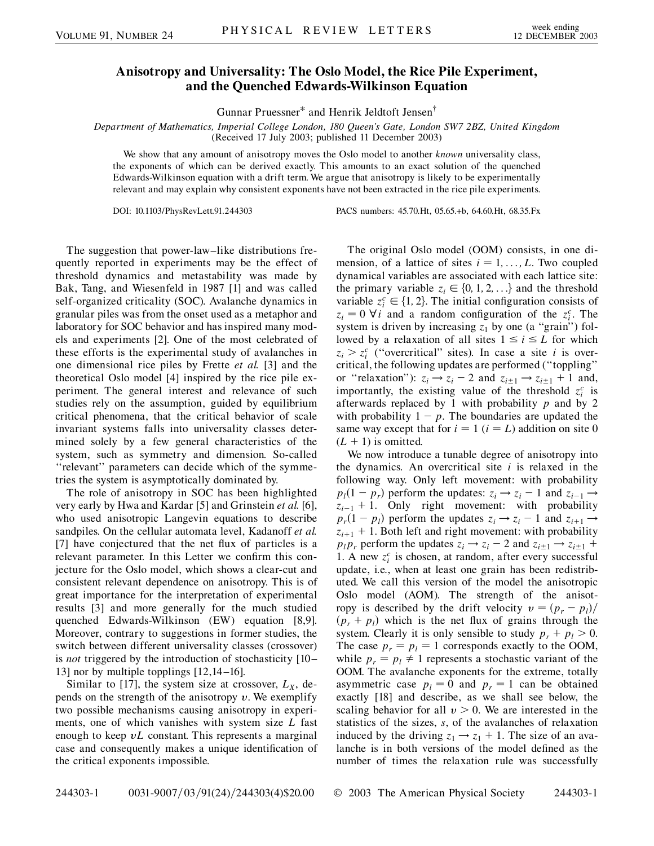## **Anisotropy and Universality: The Oslo Model, the Rice Pile Experiment, and the Quenched Edwards-Wilkinson Equation**

Gunnar Pruessner\* and Henrik Jeldtoft Jensen†

*Department of Mathematics, Imperial College London, 180 Queen's Gate, London SW7 2BZ, United Kingdom* (Received 17 July 2003; published 11 December 2003)

We show that any amount of anisotropy moves the Oslo model to another *known* universality class, the exponents of which can be derived exactly. This amounts to an exact solution of the quenched Edwards-Wilkinson equation with a drift term. We argue that anisotropy is likely to be experimentally relevant and may explain why consistent exponents have not been extracted in the rice pile experiments.

DOI: 10.1103/PhysRevLett.91.244303 PACS numbers: 45.70.Ht, 05.65.+b, 64.60.Ht, 68.35.Fx

The suggestion that power-law–like distributions frequently reported in experiments may be the effect of threshold dynamics and metastability was made by Bak, Tang, and Wiesenfeld in 1987 [1] and was called self-organized criticality (SOC). Avalanche dynamics in granular piles was from the onset used as a metaphor and laboratory for SOC behavior and has inspired many models and experiments [2]. One of the most celebrated of these efforts is the experimental study of avalanches in one dimensional rice piles by Frette *et al.* [3] and the theoretical Oslo model [4] inspired by the rice pile experiment. The general interest and relevance of such studies rely on the assumption, guided by equilibrium critical phenomena, that the critical behavior of scale invariant systems falls into universality classes determined solely by a few general characteristics of the system, such as symmetry and dimension. So-called "relevant" parameters can decide which of the symmetries the system is asymptotically dominated by.

The role of anisotropy in SOC has been highlighted very early by Hwa and Kardar [5] and Grinstein *et al.* [6], who used anisotropic Langevin equations to describe sandpiles. On the cellular automata level, Kadanoff *et al.* [7] have conjectured that the net flux of particles is a relevant parameter. In this Letter we confirm this conjecture for the Oslo model, which shows a clear-cut and consistent relevant dependence on anisotropy. This is of great importance for the interpretation of experimental results [3] and more generally for the much studied quenched Edwards-Wilkinson (EW) equation [8,9]. Moreover, contrary to suggestions in former studies, the switch between different universality classes (crossover) is *not* triggered by the introduction of stochasticity [10– 13] nor by multiple topplings [12,14–16].

Similar to [17], the system size at crossover,  $L_X$ , depends on the strength of the anisotropy  $v$ . We exemplify two possible mechanisms causing anisotropy in experiments, one of which vanishes with system size *L* fast enough to keep *vL* constant. This represents a marginal case and consequently makes a unique identification of the critical exponents impossible.

The original Oslo model (OOM) consists, in one dimension, of a lattice of sites  $i = 1, \ldots, L$ . Two coupled dynamical variables are associated with each lattice site: the primary variable  $z_i \in \{0, 1, 2, \ldots\}$  and the threshold variable  $z_i^c \in \{1, 2\}$ . The initial configuration consists of  $z_i = 0$   $\forall i$  and a random configuration of the  $z_i^c$ . The system is driven by increasing  $z_1$  by one (a "grain") followed by a relaxation of all sites  $1 \le i \le L$  for which  $z_i > z_i^c$  ("overcritical" sites). In case a site *i* is overcritical, the following updates are performed (''toppling'' or "relaxation"):  $z_i \rightarrow z_i - 2$  and  $z_{i \pm 1} \rightarrow z_{i \pm 1} + 1$  and, importantly, the existing value of the threshold  $z_i^c$  is afterwards replaced by 1 with probability *p* and by 2 with probability  $1 - p$ . The boundaries are updated the same way except that for  $i = 1$  ( $i = L$ ) addition on site 0  $(L + 1)$  is omitted.

We now introduce a tunable degree of anisotropy into the dynamics. An overcritical site *i* is relaxed in the following way. Only left movement: with probability  $p_l(1-p_r)$  perform the updates:  $z_i \rightarrow z_i - 1$  and  $z_{i-1} \rightarrow$  $z_{i-1}$  + 1. Only right movement: with probability  $p_r(1 - p_l)$  perform the updates  $z_i \rightarrow z_i - 1$  and  $z_{i+1} \rightarrow$  $z_{i+1}$  + 1. Both left and right movement: with probability  $p_l p_r$  perform the updates  $z_i \rightarrow z_i - 2$  and  $z_{i \pm 1} \rightarrow z_{i \pm 1} + 1$ 1. A new  $z_i^c$  is chosen, at random, after every successful update, i.e., when at least one grain has been redistributed. We call this version of the model the anisotropic Oslo model (AOM). The strength of the anisotropy is described by the drift velocity  $v = (p_r - p_l)/l$  $(p_r + p_l)$  which is the net flux of grains through the system. Clearly it is only sensible to study  $p_r + p_l > 0$ . The case  $p_r = p_l = 1$  corresponds exactly to the OOM, while  $p_r = p_l \neq 1$  represents a stochastic variant of the OOM. The avalanche exponents for the extreme, totally asymmetric case  $p_l = 0$  and  $p_r = 1$  can be obtained exactly [18] and describe, as we shall see below, the scaling behavior for all  $v > 0$ . We are interested in the statistics of the sizes, *s*, of the avalanches of relaxation induced by the driving  $z_1 \rightarrow z_1 + 1$ . The size of an avalanche is in both versions of the model defined as the number of times the relaxation rule was successfully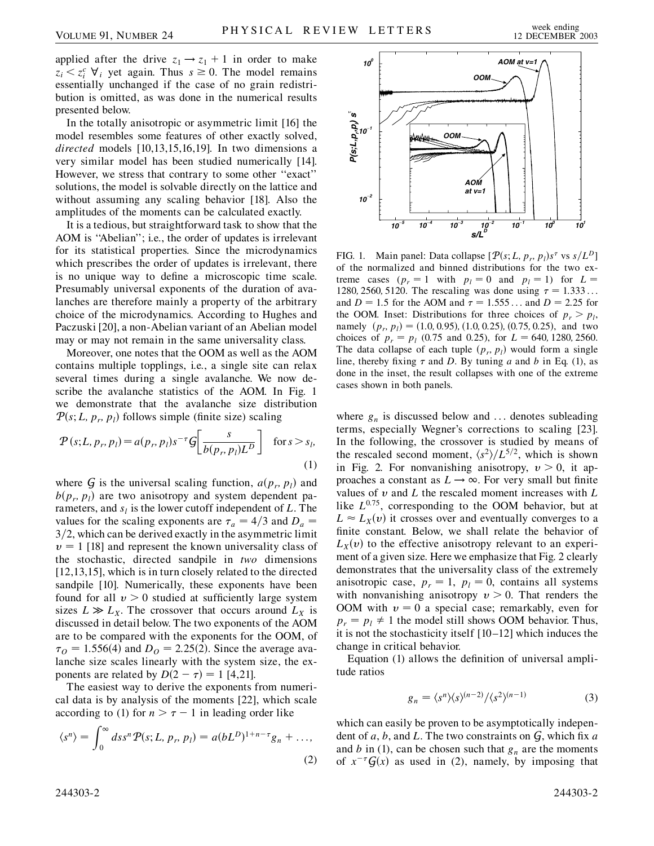applied after the drive  $z_1 \rightarrow z_1 + 1$  in order to make  $z_i < z_i^c \ \forall_i$  yet again. Thus  $s \ge 0$ . The model remains essentially unchanged if the case of no grain redistribution is omitted, as was done in the numerical results presented below.

In the totally anisotropic or asymmetric limit [16] the model resembles some features of other exactly solved, *directed* models [10,13,15,16,19]. In two dimensions a very similar model has been studied numerically [14]. However, we stress that contrary to some other ''exact'' solutions, the model is solvable directly on the lattice and without assuming any scaling behavior [18]. Also the amplitudes of the moments can be calculated exactly.

It is a tedious, but straightforward task to show that the AOM is "Abelian"; i.e., the order of updates is irrelevant for its statistical properties. Since the microdynamics which prescribes the order of updates is irrelevant, there is no unique way to define a microscopic time scale. Presumably universal exponents of the duration of avalanches are therefore mainly a property of the arbitrary choice of the microdynamics. According to Hughes and Paczuski [20], a non-Abelian variant of an Abelian model may or may not remain in the same universality class.

Moreover, one notes that the OOM as well as the AOM contains multiple topplings, i.e., a single site can relax several times during a single avalanche. We now describe the avalanche statistics of the AOM. In Fig. 1 we demonstrate that the avalanche size distribution  $P(s; L, p_r, p_l)$  follows simple (finite size) scaling

$$
\mathcal{P}(s;L,p_r,p_l) = a(p_r,p_l)s^{-\tau}\mathcal{G}\left[\frac{s}{b(p_r,p_l)L^D}\right] \quad \text{for } s > s_l,
$$
\n(1)

where  $G$  is the universal scaling function,  $a(p_r, p_l)$  and  $b(p_r, p_l)$  are two anisotropy and system dependent parameters, and  $s_l$  is the lower cutoff independent of  $L$ . The values for the scaling exponents are  $\tau_a = 4/3$  and  $D_a =$ 3/2, which can be derived exactly in the asymmetric limit  $\nu = 1$  [18] and represent the known universality class of the stochastic, directed sandpile in *two* dimensions [12,13,15], which is in turn closely related to the directed sandpile [10]. Numerically, these exponents have been found for all  $v > 0$  studied at sufficiently large system sizes  $L \gg L_X$ . The crossover that occurs around  $L_X$  is discussed in detail below. The two exponents of the AOM are to be compared with the exponents for the OOM, of  $\tau$ <sub>*O*</sub> = 1.556(4) and *D*<sub>*O*</sub> = 2.25(2). Since the average avalanche size scales linearly with the system size, the exponents are related by  $D(2 - \tau) = 1$  [4,21].

The easiest way to derive the exponents from numerical data is by analysis of the moments [22], which scale according to (1) for  $n > \tau - 1$  in leading order like

$$
\langle s^n \rangle = \int_0^\infty ds s^n P(s; L, p_r, p_l) = a(bL^D)^{1+n-\tau} g_n + \dots,
$$
\n(2)



FIG. 1. Main panel: Data collapse  $[\mathcal{P}(s; L, p_r, p_l)s^{\tau}$  vs  $s/L^D]$ of the normalized and binned distributions for the two extreme cases  $(p_r = 1$  with  $p_l = 0$  and  $p_l = 1$ ) for  $L =$ 1280, 2560, 5120. The rescaling was done using  $\tau = 1.333...$ and *D* = 1.5 for the AOM and  $\tau$  = 1.555... and *D* = 2.25 for the OOM. Inset: Distributions for three choices of  $p_r > p_l$ , namely  $(p_r, p_l) = (1.0, 0.95), (1.0, 0.25), (0.75, 0.25),$  and two choices of  $p_r = p_l$  (0.75 and 0.25), for  $L = 640, 1280, 2560$ . The data collapse of each tuple  $(p_r, p_l)$  would form a single line, thereby fixing  $\tau$  and *D*. By tuning *a* and *b* in Eq. (1), as done in the inset, the result collapses with one of the extreme cases shown in both panels.

where  $g_n$  is discussed below and  $\ldots$  denotes subleading terms, especially Wegner's corrections to scaling [23]. In the following, the crossover is studied by means of the rescaled second moment,  $\langle s^2 \rangle / L^{5/2}$ , which is shown in Fig. 2. For nonvanishing anisotropy,  $v > 0$ , it approaches a constant as  $L \rightarrow \infty$ . For very small but finite values of *v* and *L* the rescaled moment increases with *L* like  $L^{0.75}$ , corresponding to the OOM behavior, but at  $L \approx L_X(v)$  it crosses over and eventually converges to a finite constant. Below, we shall relate the behavior of  $L_X(v)$  to the effective anisotropy relevant to an experiment of a given size. Here we emphasize that Fig. 2 clearly demonstrates that the universality class of the extremely anisotropic case,  $p_r = 1$ ,  $p_l = 0$ , contains all systems with nonvanishing anisotropy  $v > 0$ . That renders the OOM with  $v = 0$  a special case; remarkably, even for  $p_r = p_l \neq 1$  the model still shows OOM behavior. Thus, it is not the stochasticity itself [10–12] which induces the change in critical behavior.

Equation (1) allows the definition of universal amplitude ratios

$$
g_n = \langle s^n \rangle \langle s \rangle^{(n-2)} / \langle s^2 \rangle^{(n-1)} \tag{3}
$$

which can easily be proven to be asymptotically independent of *a*, *b*, and *L*. The two constraints on G, which fix *a* and *b* in (1), can be chosen such that  $g_n$  are the moments of  $x^{-\tau}G(x)$  as used in (2), namely, by imposing that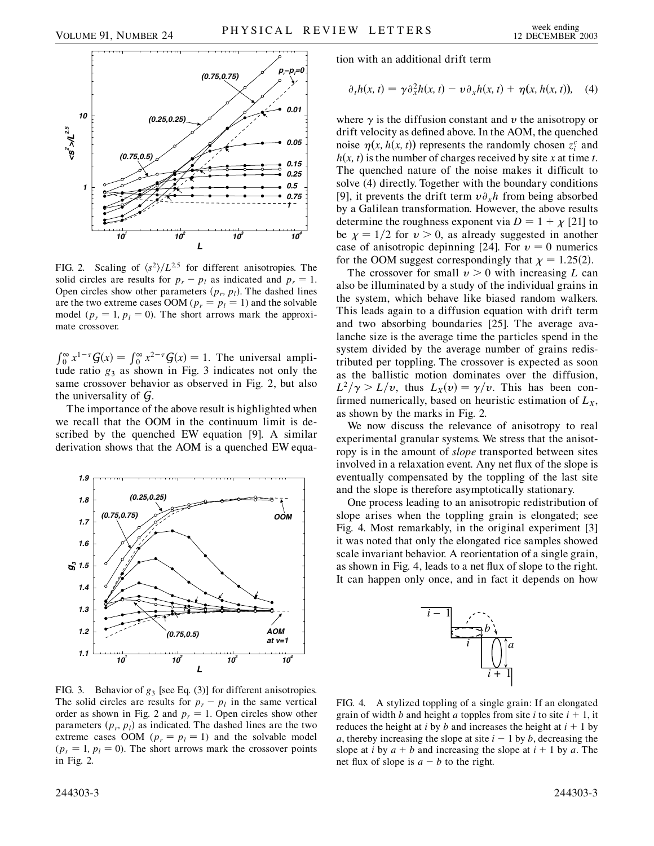

FIG. 2. Scaling of  $\langle s^2 \rangle / L^{2.5}$  for different anisotropies. The solid circles are results for  $p_r - p_l$  as indicated and  $p_r = 1$ . Open circles show other parameters  $(p_r, p_l)$ . The dashed lines are the two extreme cases OOM ( $p_r = p_l = 1$ ) and the solvable model ( $p_r = 1$ ,  $p_l = 0$ ). The short arrows mark the approximate crossover.

 $\int_0^\infty x^{1-\tau} G(x) = \int_0^\infty x^{2-\tau} G(x) = 1$ . The universal amplitude ratio  $g_3$  as shown in Fig. 3 indicates not only the same crossover behavior as observed in Fig. 2, but also the universality of G.

The importance of the above result is highlighted when we recall that the OOM in the continuum limit is described by the quenched EW equation [9]. A similar derivation shows that the AOM is a quenched EW equa-



FIG. 3. Behavior of  $g_3$  [see Eq. (3)] for different anisotropies. The solid circles are results for  $p_r - p_l$  in the same vertical order as shown in Fig. 2 and  $p_r = 1$ . Open circles show other parameters  $(p_r, p_l)$  as indicated. The dashed lines are the two extreme cases OOM ( $p_r = p_l = 1$ ) and the solvable model  $(p_r = 1, p_l = 0)$ . The short arrows mark the crossover points in Fig. 2.

tion with an additional drift term

$$
\partial_t h(x, t) = \gamma \partial_x^2 h(x, t) - \nu \partial_x h(x, t) + \eta(x, h(x, t)), \quad (4)
$$

where  $\gamma$  is the diffusion constant and *v* the anisotropy or drift velocity as defined above. In the AOM, the quenched noise  $\eta(x, h(x, t))$  represents the randomly chosen  $z_i^c$  and  $h(x, t)$  is the number of charges received by site *x* at time *t*. The quenched nature of the noise makes it difficult to solve (4) directly. Together with the boundary conditions [9], it prevents the drift term  $v \partial_x h$  from being absorbed by a Galilean transformation. However, the above results determine the roughness exponent via  $D = 1 + \chi$  [21] to be  $\chi = 1/2$  for  $v > 0$ , as already suggested in another case of anisotropic depinning [24]. For  $v = 0$  numerics for the OOM suggest correspondingly that  $\chi = 1.25(2)$ .

The crossover for small  $v > 0$  with increasing L can also be illuminated by a study of the individual grains in the system, which behave like biased random walkers. This leads again to a diffusion equation with drift term and two absorbing boundaries [25]. The average avalanche size is the average time the particles spend in the system divided by the average number of grains redistributed per toppling. The crossover is expected as soon as the ballistic motion dominates over the diffusion,  $L^2/\gamma > L/v$ , thus  $L_X(v) = \gamma/v$ . This has been confirmed numerically, based on heuristic estimation of  $L_X$ , as shown by the marks in Fig. 2.

We now discuss the relevance of anisotropy to real experimental granular systems. We stress that the anisotropy is in the amount of *slope* transported between sites involved in a relaxation event. Any net flux of the slope is eventually compensated by the toppling of the last site and the slope is therefore asymptotically stationary.

One process leading to an anisotropic redistribution of slope arises when the toppling grain is elongated; see Fig. 4. Most remarkably, in the original experiment [3] it was noted that only the elongated rice samples showed scale invariant behavior. A reorientation of a single grain, as shown in Fig. 4, leads to a net flux of slope to the right. It can happen only once, and in fact it depends on how



FIG. 4. A stylized toppling of a single grain: If an elongated grain of width *b* and height *a* topples from site *i* to site  $i + 1$ , it reduces the height at *i* by *b* and increases the height at  $i + 1$  by *a*, thereby increasing the slope at site  $i - 1$  by *b*, decreasing the slope at *i* by  $a + b$  and increasing the slope at  $i + 1$  by  $a$ . The net flux of slope is  $a - b$  to the right.